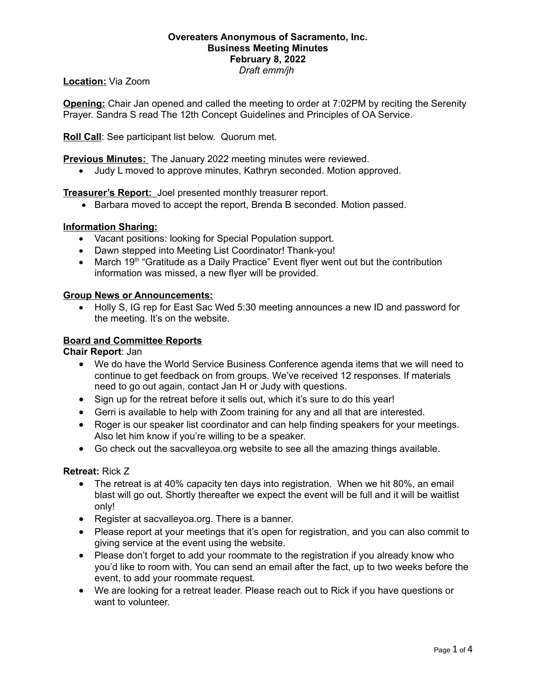#### **Overeaters Anonymous of Sacramento, Inc. Business Meeting Minutes February 8, 2022** *Draft emm/jh*

## **Location:** Via Zoom

**Opening:** Chair Jan opened and called the meeting to order at 7:02PM by reciting the Serenity Prayer. Sandra S read The 12th Concept Guidelines and Principles of OA Service.

**Roll Call**: See participant list below. Quorum met.

**Previous Minutes:** The January 2022 meeting minutes were reviewed.

Judy L moved to approve minutes, Kathryn seconded. Motion approved.

**Treasurer's Report:** Joel presented monthly treasurer report.

Barbara moved to accept the report, Brenda B seconded. Motion passed.

### **Information Sharing:**

- Vacant positions: looking for Special Population support.
- Dawn stepped into Meeting List Coordinator! Thank-you!
- March 19<sup>th</sup> "Gratitude as a Daily Practice" Event flyer went out but the contribution information was missed, a new flyer will be provided.

### **Group News or Announcements:**

 Holly S, IG rep for East Sac Wed 5:30 meeting announces a new ID and password for the meeting. It's on the website.

### **Board and Committee Reports**

**Chair Report**: Jan

- We do have the World Service Business Conference agenda items that we will need to continue to get feedback on from groups. We've received 12 responses. If materials need to go out again, contact Jan H or Judy with questions.
- Sign up for the retreat before it sells out, which it's sure to do this year!
- Gerri is available to help with Zoom training for any and all that are interested.
- Roger is our speaker list coordinator and can help finding speakers for your meetings. Also let him know if you're willing to be a speaker.
- Go check out the sacvalleyoa.org website to see all the amazing things available.

### **Retreat:** Rick Z

- The retreat is at 40% capacity ten days into registration. When we hit 80%, an email blast will go out. Shortly thereafter we expect the event will be full and it will be waitlist only!
- Register at sacvalleyoa.org. There is a banner.
- Please report at your meetings that it's open for registration, and you can also commit to giving service at the event using the website.
- Please don't forget to add your roommate to the registration if you already know who you'd like to room with. You can send an email after the fact, up to two weeks before the event, to add your roommate request.
- We are looking for a retreat leader. Please reach out to Rick if you have questions or want to volunteer.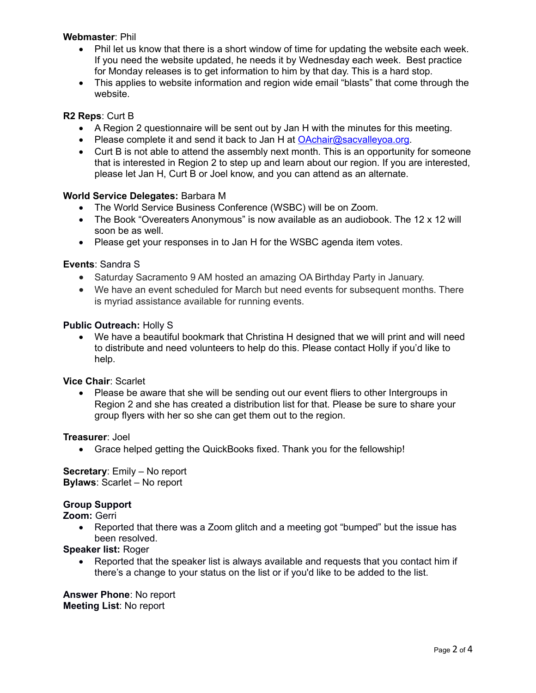### **Webmaster**: Phil

- Phil let us know that there is a short window of time for updating the website each week. If you need the website updated, he needs it by Wednesday each week. Best practice for Monday releases is to get information to him by that day. This is a hard stop.
- This applies to website information and region wide email "blasts" that come through the website.

# **R2 Reps**: Curt B

- A Region 2 questionnaire will be sent out by Jan H with the minutes for this meeting.
- Please complete it and send it back to Jan H at  $OAchair@sacvalleyoa.org$ .
- Curt B is not able to attend the assembly next month. This is an opportunity for someone that is interested in Region 2 to step up and learn about our region. If you are interested, please let Jan H, Curt B or Joel know, and you can attend as an alternate.

### **World Service Delegates:** Barbara M

- The World Service Business Conference (WSBC) will be on Zoom.
- The Book "Overeaters Anonymous" is now available as an audiobook. The 12 x 12 will soon be as well.
- Please get your responses in to Jan H for the WSBC agenda item votes.

### **Events**: Sandra S

- Saturday Sacramento 9 AM hosted an amazing OA Birthday Party in January.
- We have an event scheduled for March but need events for subsequent months. There is myriad assistance available for running events.

### **Public Outreach:** Holly S

 We have a beautiful bookmark that Christina H designed that we will print and will need to distribute and need volunteers to help do this. Please contact Holly if you'd like to help.

### **Vice Chair**: Scarlet

 Please be aware that she will be sending out our event fliers to other Intergroups in Region 2 and she has created a distribution list for that. Please be sure to share your group flyers with her so she can get them out to the region.

### **Treasurer**: Joel

Grace helped getting the QuickBooks fixed. Thank you for the fellowship!

**Secretary**: Emily – No report **Bylaws**: Scarlet – No report

### **Group Support**

**Zoom:** Gerri

 Reported that there was a Zoom glitch and a meeting got "bumped" but the issue has been resolved.

**Speaker list:** Roger

 Reported that the speaker list is always available and requests that you contact him if there's a change to your status on the list or if you'd like to be added to the list.

**Answer Phone**: No report **Meeting List**: No report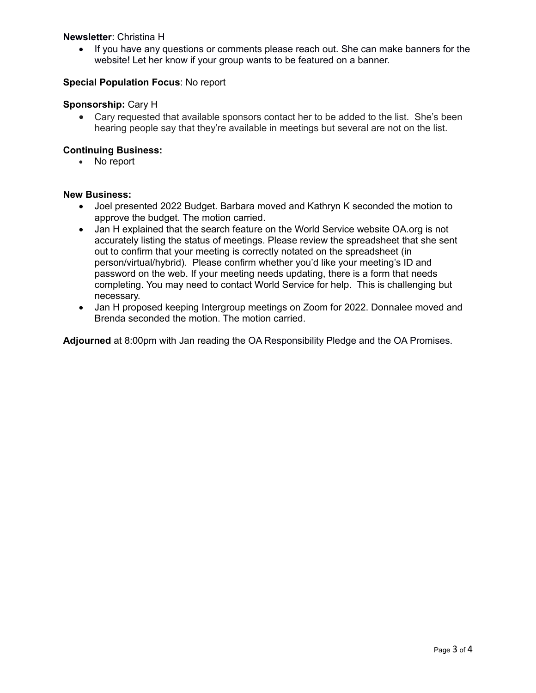## **Newsletter**: Christina H

• If you have any questions or comments please reach out. She can make banners for the website! Let her know if your group wants to be featured on a banner.

## **Special Population Focus**: No report

### **Sponsorship:** Cary H

 Cary requested that available sponsors contact her to be added to the list. She's been hearing people say that they're available in meetings but several are not on the list.

### **Continuing Business:**

No report

### **New Business:**

- Joel presented 2022 Budget. Barbara moved and Kathryn K seconded the motion to approve the budget. The motion carried.
- Jan H explained that the search feature on the World Service website OA.org is not accurately listing the status of meetings. Please review the spreadsheet that she sent out to confirm that your meeting is correctly notated on the spreadsheet (in person/virtual/hybrid). Please confirm whether you'd like your meeting's ID and password on the web. If your meeting needs updating, there is a form that needs completing. You may need to contact World Service for help. This is challenging but necessary.
- Jan H proposed keeping Intergroup meetings on Zoom for 2022. Donnalee moved and Brenda seconded the motion. The motion carried.

**Adjourned** at 8:00pm with Jan reading the OA Responsibility Pledge and the OA Promises.